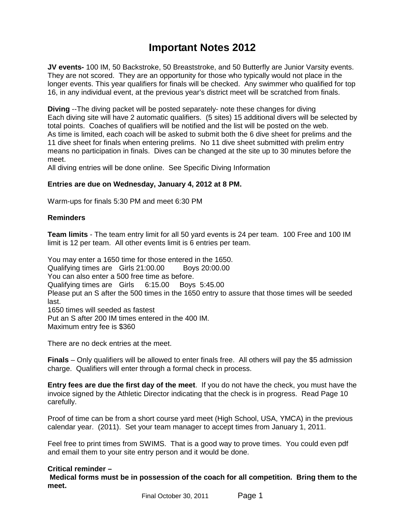## **Important Notes 2012**

**JV events-** 100 IM, 50 Backstroke, 50 Breaststroke, and 50 Butterfly are Junior Varsity events. They are not scored. They are an opportunity for those who typically would not place in the longer events. This year qualifiers for finals will be checked. Any swimmer who qualified for top 16, in any individual event, at the previous year's district meet will be scratched from finals.

**Diving** --The diving packet will be posted separately- note these changes for diving Each diving site will have 2 automatic qualifiers. (5 sites) 15 additional divers will be selected by total points. Coaches of qualifiers will be notified and the list will be posted on the web. As time is limited, each coach will be asked to submit both the 6 dive sheet for prelims and the 11 dive sheet for finals when entering prelims. No 11 dive sheet submitted with prelim entry means no participation in finals. Dives can be changed at the site up to 30 minutes before the meet.

All diving entries will be done online. See Specific Diving Information

## **Entries are due on Wednesday, January 4, 2012 at 8 PM.**

Warm-ups for finals 5:30 PM and meet 6:30 PM

## **Reminders**

**Team limits** - The team entry limit for all 50 yard events is 24 per team. 100 Free and 100 IM limit is 12 per team. All other events limit is 6 entries per team.

You may enter a 1650 time for those entered in the 1650. Qualifying times are Girls 21:00.00 Boys 20:00.00 You can also enter a 500 free time as before. Qualifying times are Girls 6:15.00 Boys 5:45.00 Please put an S after the 500 times in the 1650 entry to assure that those times will be seeded last. 1650 times will seeded as fastest Put an S after 200 IM times entered in the 400 IM. Maximum entry fee is \$360

There are no deck entries at the meet.

**Finals** – Only qualifiers will be allowed to enter finals free. All others will pay the \$5 admission charge. Qualifiers will enter through a formal check in process.

**Entry fees are due the first day of the meet**. If you do not have the check, you must have the invoice signed by the Athletic Director indicating that the check is in progress. Read Page 10 carefully.

Proof of time can be from a short course yard meet (High School, USA, YMCA) in the previous calendar year. (2011). Set your team manager to accept times from January 1, 2011.

Feel free to print times from SWIMS. That is a good way to prove times. You could even pdf and email them to your site entry person and it would be done.

## **Critical reminder –**

 **Medical forms must be in possession of the coach for all competition. Bring them to the meet.**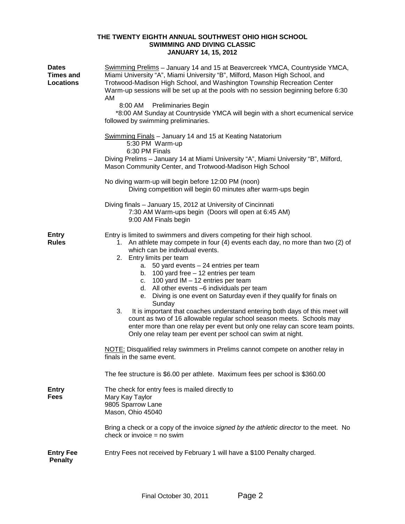## **THE TWENTY EIGHTH ANNUAL SOUTHWEST OHIO HIGH SCHOOL SWIMMING AND DIVING CLASSIC JANUARY 14, 15, 2012**

| <b>Dates</b><br><b>Times and</b><br><b>Locations</b> | Swimming Prelims - January 14 and 15 at Beavercreek YMCA, Countryside YMCA,<br>Miami University "A", Miami University "B", Milford, Mason High School, and<br>Trotwood-Madison High School, and Washington Township Recreation Center<br>Warm-up sessions will be set up at the pools with no session beginning before 6:30<br>AM<br>8:00 AM<br><b>Preliminaries Begin</b><br>*8:00 AM Sunday at Countryside YMCA will begin with a short ecumenical service<br>followed by swimming preliminaries.                                                                                                                                                                                                                                                                                                                                                                                                 |
|------------------------------------------------------|-----------------------------------------------------------------------------------------------------------------------------------------------------------------------------------------------------------------------------------------------------------------------------------------------------------------------------------------------------------------------------------------------------------------------------------------------------------------------------------------------------------------------------------------------------------------------------------------------------------------------------------------------------------------------------------------------------------------------------------------------------------------------------------------------------------------------------------------------------------------------------------------------------|
|                                                      | <b>Swimming Finals</b> - January 14 and 15 at Keating Natatorium<br>5:30 PM Warm-up<br>6:30 PM Finals<br>Diving Prelims - January 14 at Miami University "A", Miami University "B", Milford,<br>Mason Community Center, and Trotwood-Madison High School                                                                                                                                                                                                                                                                                                                                                                                                                                                                                                                                                                                                                                            |
|                                                      | No diving warm-up will begin before 12:00 PM (noon)<br>Diving competition will begin 60 minutes after warm-ups begin                                                                                                                                                                                                                                                                                                                                                                                                                                                                                                                                                                                                                                                                                                                                                                                |
|                                                      | Diving finals - January 15, 2012 at University of Cincinnati<br>7:30 AM Warm-ups begin (Doors will open at 6:45 AM)<br>9:00 AM Finals begin                                                                                                                                                                                                                                                                                                                                                                                                                                                                                                                                                                                                                                                                                                                                                         |
| <b>Entry</b><br><b>Rules</b>                         | Entry is limited to swimmers and divers competing for their high school.<br>1. An athlete may compete in four (4) events each day, no more than two (2) of<br>which can be individual events.<br>2. Entry limits per team<br>a. 50 yard events - 24 entries per team<br>b. $100$ yard free $-12$ entries per team<br>c. $100$ yard IM $-12$ entries per team<br>d. All other events -6 individuals per team<br>Diving is one event on Saturday even if they qualify for finals on<br>е.<br>Sunday<br>3.<br>It is important that coaches understand entering both days of this meet will<br>count as two of 16 allowable regular school season meets. Schools may<br>enter more than one relay per event but only one relay can score team points.<br>Only one relay team per event per school can swim at night.<br>NOTE: Disqualified relay swimmers in Prelims cannot compete on another relay in |
|                                                      | finals in the same event.                                                                                                                                                                                                                                                                                                                                                                                                                                                                                                                                                                                                                                                                                                                                                                                                                                                                           |
|                                                      | The fee structure is \$6.00 per athlete. Maximum fees per school is \$360.00                                                                                                                                                                                                                                                                                                                                                                                                                                                                                                                                                                                                                                                                                                                                                                                                                        |
| <b>Entry</b><br>Fees                                 | The check for entry fees is mailed directly to<br>Mary Kay Taylor<br>9805 Sparrow Lane<br>Mason, Ohio 45040                                                                                                                                                                                                                                                                                                                                                                                                                                                                                                                                                                                                                                                                                                                                                                                         |
|                                                      | Bring a check or a copy of the invoice signed by the athletic director to the meet. No<br>check or invoice $=$ no swim                                                                                                                                                                                                                                                                                                                                                                                                                                                                                                                                                                                                                                                                                                                                                                              |
| <b>Entry Fee</b><br><b>Penalty</b>                   | Entry Fees not received by February 1 will have a \$100 Penalty charged.                                                                                                                                                                                                                                                                                                                                                                                                                                                                                                                                                                                                                                                                                                                                                                                                                            |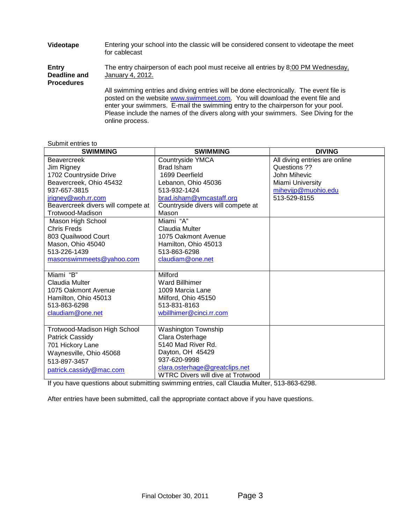| Videotape                                         | Entering your school into the classic will be considered consent to videotape the meet<br>for cablecast                                                                                                                                                                                                                                                              |
|---------------------------------------------------|----------------------------------------------------------------------------------------------------------------------------------------------------------------------------------------------------------------------------------------------------------------------------------------------------------------------------------------------------------------------|
| <b>Entry</b><br>Deadline and<br><b>Procedures</b> | The entry chairperson of each pool must receive all entries by 8:00 PM Wednesday,<br>January 4, 2012.                                                                                                                                                                                                                                                                |
|                                                   | All swimming entries and diving entries will be done electronically. The event file is<br>posted on the website www.swimmeet.com. You will download the event file and<br>enter your swimmers. E-mail the swimming entry to the chairperson for your pool.<br>Please include the names of the divers along with your swimmers. See Diving for the<br>online process. |

#### Submit entries to

| <b>SWIMMING</b>                    | <b>SWIMMING</b>                    | <b>DIVING</b>                 |
|------------------------------------|------------------------------------|-------------------------------|
| <b>Beavercreek</b>                 | Countryside YMCA                   | All diving entries are online |
| Jim Rigney                         | <b>Brad Isham</b>                  | Questions ??                  |
| 1702 Countryside Drive             | 1699 Deerfield                     | John Mihevic                  |
| Beavercreek, Ohio 45432            | Lebanon, Ohio 45036                | Miami University              |
| 937-657-3815                       | 513-932-1424                       | mihevijp@muohio.edu           |
| jrigney@woh.rr.com                 | brad.isham@ymcastaff.org           | 513-529-8155                  |
| Beavercreek divers will compete at | Countryside divers will compete at |                               |
| Trotwood-Madison                   | Mason                              |                               |
| Mason High School                  | Miami "A"                          |                               |
| <b>Chris Freds</b>                 | Claudia Multer                     |                               |
| 803 Quailwood Court                | 1075 Oakmont Avenue                |                               |
| Mason, Ohio 45040                  | Hamilton, Ohio 45013               |                               |
| 513-226-1439                       | 513-863-6298                       |                               |
| masonswimmeets@yahoo.com           | claudiam@one.net                   |                               |
|                                    |                                    |                               |
| Miami "B"                          | Milford                            |                               |
| Claudia Multer                     | <b>Ward Billhimer</b>              |                               |
| 1075 Oakmont Avenue                | 1009 Marcia Lane                   |                               |
| Hamilton, Ohio 45013               | Milford, Ohio 45150                |                               |
| 513-863-6298                       | 513-831-8163                       |                               |
| claudiam@one.net                   | wbillhimer@cinci.rr.com            |                               |
|                                    |                                    |                               |
| Trotwood-Madison High School       | <b>Washington Township</b>         |                               |
| Patrick Cassidy                    | Clara Osterhage                    |                               |
| 701 Hickory Lane                   | 5140 Mad River Rd.                 |                               |
| Waynesville, Ohio 45068            | Dayton, OH 45429                   |                               |
| 513-897-3457                       | 937-620-9998                       |                               |
| patrick.cassidy@mac.com            | clara.osterhage@greatclips.net     |                               |
|                                    | WTRC Divers will dive at Trotwood  |                               |

If you have questions about submitting swimming entries, call Claudia Multer, 513-863-6298.

After entries have been submitted, call the appropriate contact above if you have questions.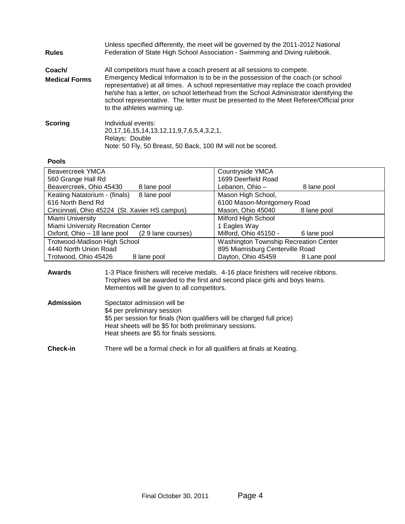| <b>Rules</b>         | Unless specified differently, the meet will be governed by the 2011-2012 National<br>Federation of State High School Association - Swimming and Diving rulebook.                                                                                                                                                                                                                             |
|----------------------|----------------------------------------------------------------------------------------------------------------------------------------------------------------------------------------------------------------------------------------------------------------------------------------------------------------------------------------------------------------------------------------------|
| Coach/               | All competitors must have a coach present at all sessions to compete.                                                                                                                                                                                                                                                                                                                        |
| <b>Medical Forms</b> | Emergency Medical Information is to be in the possession of the coach (or school<br>representative) at all times. A school representative may replace the coach provided<br>he/she has a letter, on school letterhead from the School Administrator identifying the<br>school representative. The letter must be presented to the Meet Referee/Official prior<br>to the athletes warming up. |
| <b>Scoring</b>       | Individual events:                                                                                                                                                                                                                                                                                                                                                                           |
|                      | 20, 17, 16, 15, 14, 13, 12, 11, 9, 7, 6, 5, 4, 3, 2, 1,                                                                                                                                                                                                                                                                                                                                      |
|                      | Relays: Double                                                                                                                                                                                                                                                                                                                                                                               |
|                      | Note: 50 Fly, 50 Breast, 50 Back, 100 IM will not be scored.                                                                                                                                                                                                                                                                                                                                 |

## **Pools**

| Beavercreek YMCA                              | <b>Countryside YMCA</b>                      |  |  |
|-----------------------------------------------|----------------------------------------------|--|--|
| 560 Grange Hall Rd                            | 1699 Deerfield Road                          |  |  |
| Beavercreek, Ohio 45430<br>8 lane pool        | Lebanon, Ohio –<br>8 lane pool               |  |  |
| Keating Natatorium - (finals)<br>8 lane pool  | Mason High School,                           |  |  |
| 616 North Bend Rd                             | 6100 Mason-Montgomery Road                   |  |  |
| Cincinnati, Ohio 45224 (St. Xavier HS campus) | Mason, Ohio 45040<br>8 lane pool             |  |  |
| Miami University                              | Milford High School                          |  |  |
| Miami University Recreation Center            | 1 Eagles Way                                 |  |  |
| Oxford, Ohio - 18 lane pool (29 lane courses) | Milford, Ohio 45150 -<br>6 lane pool         |  |  |
| <b>Trotwood-Madison High School</b>           | <b>Washington Township Recreation Center</b> |  |  |
| 4440 North Union Road                         | 895 Miamisburg Centerville Road              |  |  |
| Trotwood, Ohio 45426<br>8 lane pool           | Dayton, Ohio 45459<br>8 Lane pool            |  |  |

### **Awards** 1-3 Place finishers will receive medals. 4-16 place finishers will receive ribbons. Trophies will be awarded to the first and second place girls and boys teams. Mementos will be given to all competitors.

| Admission | Spectator admission will be                                            |
|-----------|------------------------------------------------------------------------|
|           | \$4 per preliminary session                                            |
|           | \$5 per session for finals (Non qualifiers will be charged full price) |
|           | Heat sheets will be \$5 for both preliminary sessions.                 |
|           | Heat sheets are \$5 for finals sessions.                               |

## **Check-in** There will be a formal check in for all qualifiers at finals at Keating.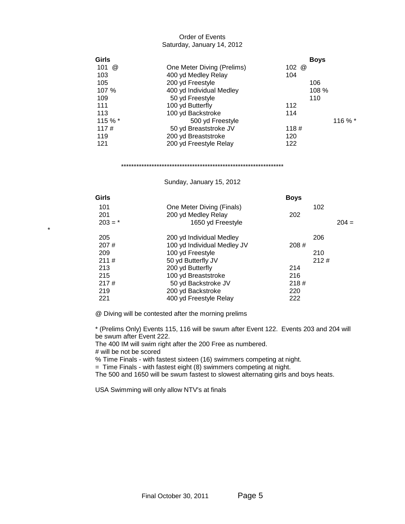## Order of Events Saturday, January 14, 2012

| Girls                       |                            |         | <b>Boys</b> |         |
|-----------------------------|----------------------------|---------|-------------|---------|
| 101<br>$^{\textregistered}$ | One Meter Diving (Prelims) | 102 $@$ |             |         |
| 103                         | 400 yd Medley Relay        | 104     |             |         |
| 105                         | 200 yd Freestyle           |         | 106         |         |
| 107 %                       | 400 yd Individual Medley   |         | 108 %       |         |
| 109                         | 50 yd Freestyle            |         | 110         |         |
| 111                         | 100 yd Butterfly           | 112     |             |         |
| 113                         | 100 yd Backstroke          | 114     |             |         |
| 115 % *                     | 500 yd Freestyle           |         |             | 116 % * |
| 117#                        | 50 yd Breaststroke JV      | 118#    |             |         |
| 119                         | 200 yd Breaststroke        | 120     |             |         |
| 121                         | 200 yd Freestyle Relay     | 122     |             |         |

#### \*\*\*\*\*\*\*\*\*\*\*\*\*\*\*\*\*\*\*\*\*\*\*\*\*\*\*\*\*\*\*\*\*\*\*\*\*\*\*\*\*\*\*\*\*\*\*\*\*\*\*\*\*\*\*\*\*\*\*\*\*\*\*\*

## Sunday, January 15, 2012

| Girls     |                             | <b>Boys</b> |      |         |
|-----------|-----------------------------|-------------|------|---------|
| 101       | One Meter Diving (Finals)   |             | 102  |         |
| 201       | 200 yd Medley Relay         | 202         |      |         |
| $203 = *$ | 1650 yd Freestyle           |             |      | $204 =$ |
| 205       | 200 yd Individual Medley    |             | 206  |         |
| 207#      | 100 yd Individual Medley JV | 208#        |      |         |
| 209       | 100 yd Freestyle            |             | 210  |         |
| 211#      | 50 yd Butterfly JV          |             | 212# |         |
| 213       | 200 yd Butterfly            | 214         |      |         |
| 215       | 100 yd Breaststroke         | 216         |      |         |
| 217#      | 50 yd Backstroke JV         | 218#        |      |         |
| 219       | 200 yd Backstroke           | 220         |      |         |
| 221       | 400 yd Freestyle Relay      | 222         |      |         |

@ Diving will be contested after the morning prelims

\* (Prelims Only) Events 115, 116 will be swum after Event 122. Events 203 and 204 will be swum after Event 222.

The 400 IM will swim right after the 200 Free as numbered.

# will be not be scored

\*

% Time Finals - with fastest sixteen (16) swimmers competing at night.

= Time Finals - with fastest eight (8) swimmers competing at night.

The 500 and 1650 will be swum fastest to slowest alternating girls and boys heats.

USA Swimming will only allow NTV's at finals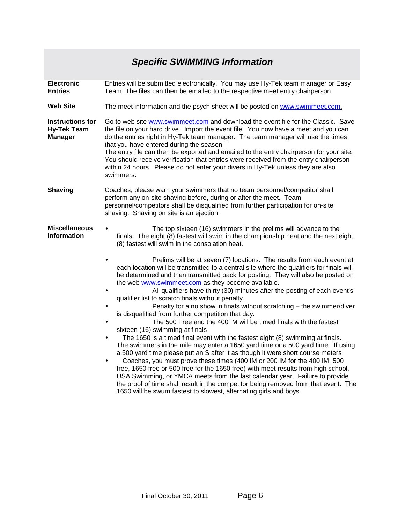# *Specific SWIMMING Information*

| <b>Electronic</b><br><b>Entries</b>                             | Entries will be submitted electronically. You may use Hy-Tek team manager or Easy<br>Team. The files can then be emailed to the respective meet entry chairperson.                                                                                                                                                                                                                                                                                                                                                                                                                                                                                                                                                                                                                                                                                                                                                                                                                                                                                                                                                                                                                                                                                                                                                                                                                                                                                                                                                                                                                                                            |  |  |
|-----------------------------------------------------------------|-------------------------------------------------------------------------------------------------------------------------------------------------------------------------------------------------------------------------------------------------------------------------------------------------------------------------------------------------------------------------------------------------------------------------------------------------------------------------------------------------------------------------------------------------------------------------------------------------------------------------------------------------------------------------------------------------------------------------------------------------------------------------------------------------------------------------------------------------------------------------------------------------------------------------------------------------------------------------------------------------------------------------------------------------------------------------------------------------------------------------------------------------------------------------------------------------------------------------------------------------------------------------------------------------------------------------------------------------------------------------------------------------------------------------------------------------------------------------------------------------------------------------------------------------------------------------------------------------------------------------------|--|--|
| <b>Web Site</b>                                                 | The meet information and the psych sheet will be posted on www.swimmeet.com.                                                                                                                                                                                                                                                                                                                                                                                                                                                                                                                                                                                                                                                                                                                                                                                                                                                                                                                                                                                                                                                                                                                                                                                                                                                                                                                                                                                                                                                                                                                                                  |  |  |
| <b>Instructions for</b><br><b>Hy-Tek Team</b><br><b>Manager</b> | Go to web site www.swimmeet.com and download the event file for the Classic. Save<br>the file on your hard drive. Import the event file. You now have a meet and you can<br>do the entries right in Hy-Tek team manager. The team manager will use the times<br>that you have entered during the season.<br>The entry file can then be exported and emailed to the entry chairperson for your site.<br>You should receive verification that entries were received from the entry chairperson<br>within 24 hours. Please do not enter your divers in Hy-Tek unless they are also<br>swimmers.                                                                                                                                                                                                                                                                                                                                                                                                                                                                                                                                                                                                                                                                                                                                                                                                                                                                                                                                                                                                                                  |  |  |
| <b>Shaving</b>                                                  | Coaches, please warn your swimmers that no team personnel/competitor shall<br>perform any on-site shaving before, during or after the meet. Team<br>personnel/competitors shall be disqualified from further participation for on-site<br>shaving. Shaving on site is an ejection.                                                                                                                                                                                                                                                                                                                                                                                                                                                                                                                                                                                                                                                                                                                                                                                                                                                                                                                                                                                                                                                                                                                                                                                                                                                                                                                                            |  |  |
| <b>Miscellaneous</b><br><b>Information</b>                      | The top sixteen (16) swimmers in the prelims will advance to the<br>finals. The eight (8) fastest will swim in the championship heat and the next eight<br>(8) fastest will swim in the consolation heat.<br>Prelims will be at seven (7) locations. The results from each event at<br>$\bullet$<br>each location will be transmitted to a central site where the qualifiers for finals will<br>be determined and then transmitted back for posting. They will also be posted on<br>the web www.swimmeet.com as they become available.<br>All qualifiers have thirty (30) minutes after the posting of each event's<br>qualifier list to scratch finals without penalty.<br>Penalty for a no show in finals without scratching - the swimmer/diver<br>is disqualified from further competition that day.<br>The 500 Free and the 400 IM will be timed finals with the fastest<br>$\bullet$<br>sixteen (16) swimming at finals<br>The 1650 is a timed final event with the fastest eight (8) swimming at finals.<br>$\bullet$<br>The swimmers in the mile may enter a 1650 yard time or a 500 yard time. If using<br>a 500 yard time please put an S after it as though it were short course meters<br>Coaches, you must prove these times (400 IM or 200 IM for the 400 IM, 500<br>$\bullet$<br>free, 1650 free or 500 free for the 1650 free) with meet results from high school,<br>USA Swimming, or YMCA meets from the last calendar year. Failure to provide<br>the proof of time shall result in the competitor being removed from that event. The<br>1650 will be swum fastest to slowest, alternating girls and boys. |  |  |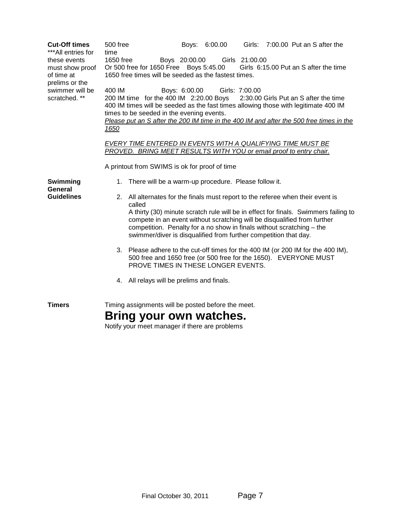| <b>Cut-Off times</b><br>***All entries for<br>these events<br>must show proof<br>of time at<br>prelims or the<br>swimmer will be<br>scratched. ** | 500 free<br>time<br>1650 free<br>Boys 20:00.00<br>Or 500 free for 1650 Free Boys 5:45.00<br>1650 free times will be seeded as the fastest times.<br>400 IM<br>Boys: 6:00.00<br>200 IM time for the 400 IM 2:20.00 Boys<br>times to be seeded in the evening events.<br>1650 | Boys: 6:00.00 | Girls: 7:00.00 Put an S after the<br>Girls 21:00.00<br>Girls 6:15.00 Put an S after the time<br>Girls: 7:00.00<br>2:30.00 Girls Put an S after the time<br>400 IM times will be seeded as the fast times allowing those with legitimate 400 IM<br>Please put an S after the 200 IM time in the 400 IM and after the 500 free times in the                                                                                                                                                                                                                 |  |
|---------------------------------------------------------------------------------------------------------------------------------------------------|-----------------------------------------------------------------------------------------------------------------------------------------------------------------------------------------------------------------------------------------------------------------------------|---------------|-----------------------------------------------------------------------------------------------------------------------------------------------------------------------------------------------------------------------------------------------------------------------------------------------------------------------------------------------------------------------------------------------------------------------------------------------------------------------------------------------------------------------------------------------------------|--|
|                                                                                                                                                   | A printout from SWIMS is ok for proof of time                                                                                                                                                                                                                               |               | EVERY TIME ENTERED IN EVENTS WITH A QUALIFYING TIME MUST BE<br>PROVED. BRING MEET RESULTS WITH YOU or email proof to entry chair.                                                                                                                                                                                                                                                                                                                                                                                                                         |  |
| Swimming<br>General<br><b>Guidelines</b>                                                                                                          | 1. There will be a warm-up procedure. Please follow it.<br>called<br>PROVE TIMES IN THESE LONGER EVENTS.<br>4. All relays will be prelims and finals.                                                                                                                       |               | 2. All alternates for the finals must report to the referee when their event is<br>A thirty (30) minute scratch rule will be in effect for finals. Swimmers failing to<br>compete in an event without scratching will be disqualified from further<br>competition. Penalty for a no show in finals without scratching $-$ the<br>swimmer/diver is disqualified from further competition that day.<br>3. Please adhere to the cut-off times for the 400 IM (or 200 IM for the 400 IM),<br>500 free and 1650 free (or 500 free for the 1650). EVERYONE MUST |  |
| <b>Timers</b>                                                                                                                                     | Timing assignments will be posted before the meet.<br>Bring your own watches.<br>Notify your meet manager if there are problems                                                                                                                                             |               |                                                                                                                                                                                                                                                                                                                                                                                                                                                                                                                                                           |  |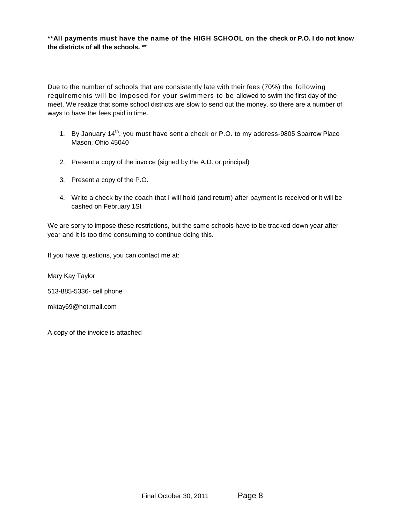**\*\*All payments must have the name of the HIGH SCHOOL on the check or P.O. I do not know the districts of all the schools. \*\*** 

Due to the number of schools that are consistently late with their fees (70%) the following requirements will be imposed for your swimmers to be allowed to swim the first day of the meet. We realize that some school districts are slow to send out the money, so there are a number of ways to have the fees paid in time.

- 1. By January 14<sup>th</sup>, you must have sent a check or P.O. to my address-9805 Sparrow Place Mason, Ohio 45040
- 2. Present a copy of the invoice (signed by the A.D. or principal)
- 3. Present a copy of the P.O.
- 4. Write a check by the coach that I will hold (and return) after payment is received or it will be cashed on February 1St

We are sorry to impose these restrictions, but the same schools have to be tracked down year after year and it is too time consuming to continue doing this.

If you have questions, you can contact me at:

Mary Kay Taylor

513-885-5336- cell phone

mktay69@hot.mail.com

A copy of the invoice is attached